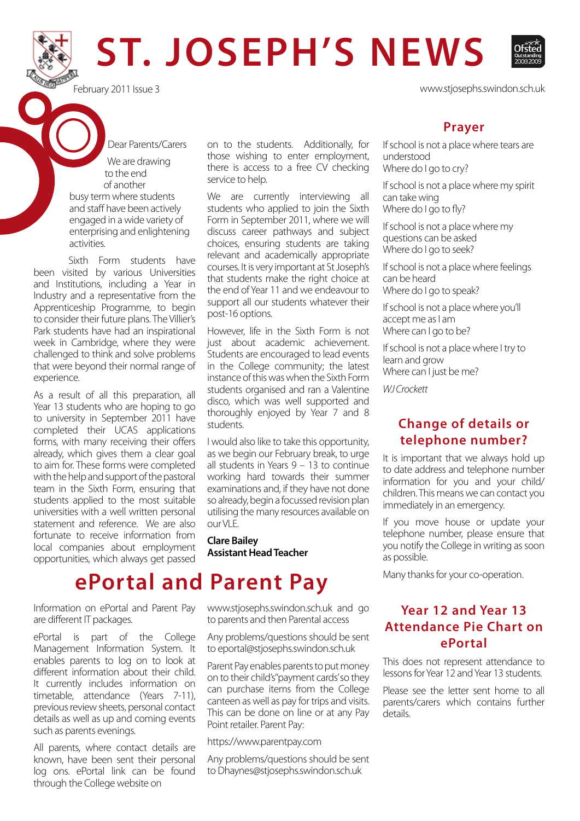# **ST. JOSEPH'S NEWS**

 Dear Parents/Carers We are drawing to the end of another busy term where students and staff have been actively engaged in a wide variety of enterprising and enlightening

Sixth Form students have been visited by various Universities and Institutions, including a Year in Industry and a representative from the Apprenticeship Programme, to begin to consider their future plans. The Villier's Park students have had an inspirational week in Cambridge, where they were challenged to think and solve problems that were beyond their normal range of experience.

activities.

As a result of all this preparation, all Year 13 students who are hoping to go to university in September 2011 have completed their UCAS applications forms, with many receiving their offers already, which gives them a clear goal to aim for. These forms were completed with the help and support of the pastoral team in the Sixth Form, ensuring that students applied to the most suitable universities with a well written personal statement and reference. We are also fortunate to receive information from local companies about employment opportunities, which always get passed

Information on ePortal and Parent Pay are different IT packages.

ePortal is part of the College Management Information System. It enables parents to log on to look at different information about their child. It currently includes information on timetable, attendance (Years 7-11), previous review sheets, personal contact details as well as up and coming events such as parents evenings.

All parents, where contact details are known, have been sent their personal log ons. ePortal link can be found through the College website on

on to the students. Additionally, for those wishing to enter employment, there is access to a free CV checking service to help.

We are currently interviewing all students who applied to join the Sixth Form in September 2011, where we will discuss career pathways and subject choices, ensuring students are taking relevant and academically appropriate courses. It is very important at St Joseph's that students make the right choice at the end of Year 11 and we endeavour to support all our students whatever their post-16 options.

However, life in the Sixth Form is not just about academic achievement. Students are encouraged to lead events in the College community; the latest instance of this was when the Sixth Form students organised and ran a Valentine disco, which was well supported and thoroughly enjoyed by Year 7 and 8 students.

I would also like to take this opportunity, as we begin our February break, to urge all students in Years 9 – 13 to continue working hard towards their summer examinations and, if they have not done so already, begin a focussed revision plan utilising the many resources available on  $O(|I|)$ E

**Clare Bailey Assistant Head Teacher** 

### **ePortal and Parent Pay**

www.stjosephs.swindon.sch.uk and go to parents and then Parental access

Any problems/questions should be sent to eportal@stjosephs.swindon.sch.uk

Parent Pay enables parents to put money on to their child's" payment cards' so they can purchase items from the College canteen as well as pay for trips and visits. This can be done on line or at any Pay Point retailer. Parent Pay:

https://www.parentpay.com

Any problems/questions should be sent to Dhaynes@stjosephs.swindon.sch.uk

February 2011 Issue 3 www.stjosephs.swindon.sch.uk

#### **Prayer**

If school is not a place where tears are understood Where do I go to cry?

If school is not a place where my spirit can take wing Where do I go to fly?

If school is not a place where my questions can be asked Where do I go to seek?

If school is not a place where feelings can be heard Where do I go to speak?

If school is not a place where you'll accept me as I am Where can I go to be?

If school is not a place where I try to learn and grow Where can I just be me?

*WJ Crockett*

#### **Change of details or telephone number?**

It is important that we always hold up to date address and telephone number information for you and your child/ children. This means we can contact you immediately in an emergency.

If you move house or update your telephone number, please ensure that you notify the College in writing as soon as possible.

Many thanks for your co-operation.

#### **Year 12 and Year 13 Attendance Pie Chart on ePortal**

This does not represent attendance to lessons for Year 12 and Year 13 students.

Please see the letter sent home to all parents/carers which contains further details.

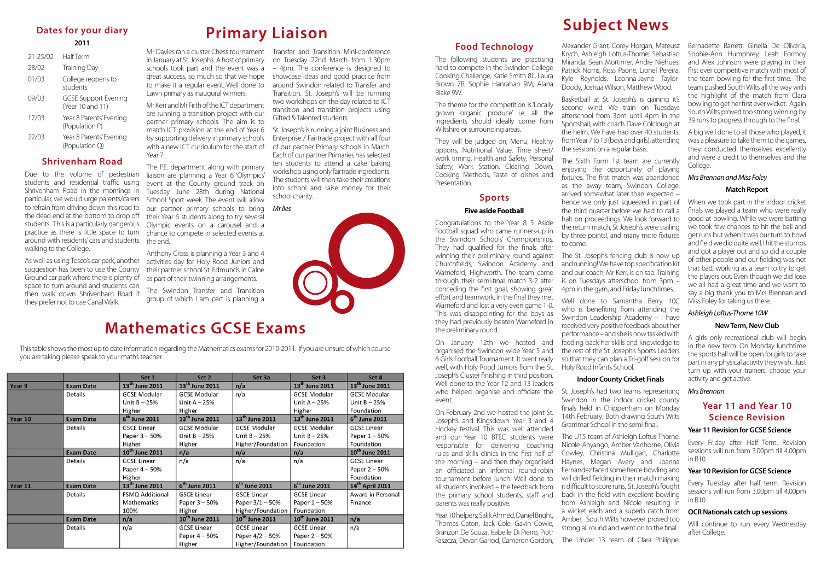#### **Food Technology**

The following students are practising hard to compete in the Swindon College Cooking Challenge; Katie Smith 8L, Laura Brown 7B, Sophie Hanrahan 9M, Alana Blake 9W.

The theme for the competition is 'Locally grown organic produce' i.e. all the ingredients should ideally come from Wiltshire or surrounding areas.

They will be judged on; Menu, Healthy options, Nutritional Value, Time sheet/ work timing, Health and Safety, Personal Safety, Work Station, Clearing Down, Cooking Methods, Taste of dishes and Presentation.

#### **Sports**

#### **Five aside Football**

Congratulations to the Year 8 5 Aside Football squad who came runners-up in the Swindon Schools' Championships. They had qualified for the finals after winning their preliminary round against Churchfields, Swindon Academy and Warneford, Highworth. The team came through their semi-final match 3-2 after conceding the first goal, showing great effort and teamwork. In the final they met Warneford and lost a very even game 1-0. This was disappointing for the boys as they had previously beaten Warneford in the preliminary round.

On January 12th we hosted and organised the Swindon wide Year 5 and 6 Girls Football Tournament. It went really well, with Holy Rood Juniors from the St. Joseph's Cluster finishing in third position. Well done to the Year 12 and 13 leaders who helped organise and officiate the St. Joseph's had two teams representing event.

On February 2nd we hosted the joint St. Joseph's and Kingsdown Year 3 and 4 Hockey festival. This was well attended and our Year 10 BTEC students were responsible for delivering coaching rules and skills clinics in the first half of the morning – and then they organised an officiated an informal round-robin tournament before lunch. Well done to all students involved – the feedback from the primary school students, staff and parents was really positive.

Swindon in the indoor cricket county finals held in Chippenham on Monday 14th February; Both drawing South Wilts Grammar School in the semi-final.

Year 10 helpers; Salik Ahmed, Daniel Bright, Thomas Caton, Jack Cole, Gavin Cowie, Branzon De Souza, Isabelle Di Pierro, Piotr Faszcza, Devan Garrod, Cameron Gordon,

Alexander Grant, Corey Horgan, Mateusz Krych, Ashleigh Loftus-Thorne, Sebastiao Miranda, Sean Mortimer, Andre Niehues, Patrick Norris, Ross Paone, Lionel Pereira, Kyle Reynolds, Leonna-Jayne Taylor-Doody, Joshua Wilson, Matthew Wood.

> A big well done to all those who played, it was a pleasure to take them to the games, they conducted themselves excellently and were a credit to themselves and the College.

Basketball at St. Joseph's is gaining it's second wind. We train on Tuesdays afterschool from 3pm until 4pm in the Sportshall, with coach Dave Colclough at the helm. We have had over 40 students, from Year 7 to 13 (boys and girls), attending the sessions on a regular basis.

The Sixth Form 1st team are currently enjoying the opportunity of playing fixtures. The first match was abandoned as the away team, Swindon College, arrived somewhat later than expected – hence we only just squeezed in part of the third quarter before we had to call a halt on proceedings. We look forward to the return match, St Joseph's were trailing by three points!, and many more fixtures to come.

> Will continue to run every Wednesday after College.

The St. Joseph's fencing club is now up and running! We have top specification kit and our coach, Mr Kerr, is on tap. Training is on Tuesdays afterschool from 3pm – 4pm in the gym, and Friday lunchtimes.

Well done to Samantha Berry 10C who is benefiting from attending the Swindon Leadership Academy – I have received very positive feedback about her performance – and she is now tasked with feeding back her skills and knowledge to the rest of the St. Joseph's Sports Leaders so that they can plan a Tri-golf session for Holy Rood Infants School.

#### **Indoor County Cricket Finals**

The U15 team of Ashleigh Loftus-Thorne, Nicole Anyango, Amber Vanhorne, Olivia Cowley, Christina Mulligan, Charlotte Haynes, Megan Avery and Joanna Fernandez faced some fierce bowling and will drilled fielding in their match making it difficult to score runs. St. Joseph's fought back in the field with excellent bowling from Ashleigh and Nicole resulting in a wicket each and a superb catch from Amber. South Wilts however proved too strong all round and went on to the final.

The Under 13 team of Clara Philippe,

Bernadette Barrett, Ginella De Oliveria, Sophie-Ann Humphrey, Leah Formoy and Alex Johnson were playing in their first ever competitive match with most of the team bowling for the first time. The team pushed South Wilts all the way with the highlight of the match from Clara bowling to get her first ever wicket. Again South Wilts proved too strong winning by 39 runs to progress through to the final.

#### *Mrs Brennan and Miss Foley* **Match Report**

When we took part in the indoor cricket finals we played a team who were really good at bowling. While we were batting we took few chances to hit the ball and get runs but when it was our turn to bowl and field we did quite well. I hit the stumps and got a player out and so did a couple of other people and our fielding was not that bad, working as a team to try to get the players out. Even though we did lose we all had a great time and we want to say a big thank you to Mrs Brennan and Miss Foley for taking us there.

#### *Ashleigh Loftus-Thorne 10W*

#### **New Term, New Club**

A girls only recreational club will begin in the new term. On Monday lunchtime the sports hall will be open for girls to take part in any physical activity they wish. Just turn up with your trainers, choose your activity and get active.

#### *Mrs Brennan*

#### **Year 11 and Year 10 Science Revision**

#### **Year 11 Revision for GCSE Science**

Every Friday after Half Term. Revision sessions will run from 3.00pm till 4.00pm in B10.

#### **Year 10 Revision for GCSE Science**

Every Tuesday after half term. Revision sessions will run from 3.00pm till 4.00pm in B10

#### **OCR Nationals catch up sessions**

### **Dates for your diary**

#### **2011**

| $21 - 25/02$ | <b>Half Term</b>                                |
|--------------|-------------------------------------------------|
| 28/02        | <b>Training Day</b>                             |
| 01/03        | College reopens to<br>students                  |
| 09/03        | <b>GCSE Support Evening</b><br>(Year 10 and 11) |
| 17/03        | Year 8 Parents' Evening<br>(Population P)       |
| 22/03        | Year 8 Parents' Evening<br>(Population Q)       |

#### **Shrivenham Road**

students and residential traffic using Shrivenham Road in the mornings in particular, we would urge parents/carers to refrain from driving down this road to the dead end at the bottom to drop off students. This is a particularly dangerous practice as there is little space to turn around with residents' cars and students walking to the College.

As well as using Tesco's car park, another suggestion has been to use the County Ground car park where there is plenty of space to turn around and students can then walk down Shrivenham Road if they prefer not to use Canal Walk.

## **Subject News**

### **Mathematics GCSE Exams**

This table shows the most up to date information regarding the Mathematics exams for 2010-2011. If you are unsure of which course you are taking please speak to your maths teacher.

|         |                  | Set 1                      | Set 2                      | Set 3a                     | Set 3                      | Set 4                       |
|---------|------------------|----------------------------|----------------------------|----------------------------|----------------------------|-----------------------------|
| Year 9  | <b>Exam Date</b> | 13 <sup>th</sup> June 2011 | 13 <sup>th</sup> June 2011 | n/a                        | 13 <sup>th</sup> June 2011 | 13 <sup>th</sup> June 2011  |
|         | Details          | <b>GCSE Modular</b>        | <b>GCSE Modular</b>        | n/a                        | <b>GCSE Modular</b>        | <b>GCSE Modular</b>         |
|         |                  | Unit $B - 25%$             | Unit $A - 25%$             |                            | Unit $A - 25%$             | Unit $B - 25%$              |
|         |                  | Higher                     | Higher                     |                            | Higher                     | Foundation                  |
| Year 10 | <b>Exam Date</b> | $6th$ June 2011            | 13 <sup>th</sup> June 2011 | 13 <sup>th</sup> June 2011 | 13 <sup>th</sup> June 2011 | $6th$ June 2011             |
|         | Details          | <b>GSCE Linear</b>         | <b>GCSE Modular</b>        | <b>GCSE Modular</b>        | <b>GCSE Modular</b>        | <b>GCSE Linear</b>          |
|         |                  | Paper 3 - 50%              | Unit $B - 25%$             | Unit $B - 25%$             | Unit $B - 25%$             | Paper $1-50%$               |
|         |                  | Higher                     | Higher                     | Higher/Foundation          | Foundation                 | Foundation                  |
|         | <b>Exam Date</b> | 10 <sup>th</sup> June 2011 | n/a                        | n/a                        | n/a                        | 10 <sup>th</sup> June 2011  |
|         | Details          | <b>GCSE Linear</b>         | n/a                        | n/a                        | n/a                        | <b>GCSE Linear</b>          |
|         |                  | Paper 4 - 50%              |                            |                            |                            | Paper 2 - 50%               |
|         |                  | Higher                     |                            |                            |                            | Foundation                  |
| Year 11 | <b>Exam Date</b> | 13 <sup>th</sup> June 2011 | $6th$ June 2011            | 6 <sup>th</sup> June 2011  | 6 <sup>th</sup> June 2011  | 14 <sup>th</sup> April 2011 |
|         | <b>Details</b>   | <b>FSMQ Additional</b>     | <b>GSCE Linear</b>         | <b>GSCE Linear</b>         | <b>GCSE Linear</b>         | Award in Personal           |
|         |                  | Mathematics                | Paper $3 - 50%$            | Paper 3/1 - 50%            | Paper 1-50%                | Finance                     |
|         |                  | 100%                       | Higher                     | Higher/Foundation          | Foundation                 |                             |
|         | <b>Exam Date</b> | n/a                        | 10 <sup>th</sup> June 2011 | 10 <sup>th</sup> June 2011 | 10 <sup>th</sup> June 2011 | n/a                         |
|         | Details          | n/a                        | <b>GCSE Linear</b>         | <b>GCSE Linear</b>         | <b>GCSE Linear</b>         | n/a                         |
|         |                  |                            | Paper 4 - 50%              | Paper 4/2 - 50%            | Paper 2 - 50%              |                             |
|         |                  |                            | Higher                     | Higher/Foundation          | Foundation                 |                             |

Due to the volume of pedestrian liaison are planning a Year 6 'Olympics' The P.E. department along with primary event at the County ground track on Tuesday June 28th during National School Sport week. The event will allow our partner primary schools to bring their Year 6 students along to try several Olympic events on a carousel and a chance to compete in selected events at the end.

Mr Davies ran a cluster Chess tournament in January at St. Joseph's. A host of primary schools took part and the event was a great success, so much so that we hope to make it a regular event. Well done to Lawn primary as inaugural winners.

Mr Kerr and Mr Firth of the ICT department are running a transition project with our partner primary schools. The aim is to match ICT provision at the end of Year 6 by supporting delivery in primary schools with a new ICT curriculum for the start of Year 7.

Anthony Cross is planning a Year 3 and 4 activities day for Holy Rood Juniors and their partner school St. Edmunds in Calne as part of their twinning arrangements.

The Swindon Transfer and Transition group of which I am part is planning a

Transfer and Transition Mini-conference on Tuesday 22nd March from 1.30pm – 4pm. The conference is designed to showcase ideas and good practice from around Swindon related to Transfer and Transition. St. Joseph's will be running two workshops on the day related to ICT transition and transition projects using Gifted & Talented students.

St. Joseph's is running a joint Business and Enterprise / Fairtrade project with all four of our partner Primary schools in March. Each of our partner Primaries has selected ten students to attend a cake baking workshop using only fairtrade ingredients. The students will then take their creations into school and raise money for their school charity.

#### *Mr Iles*



**Primary Liaison**